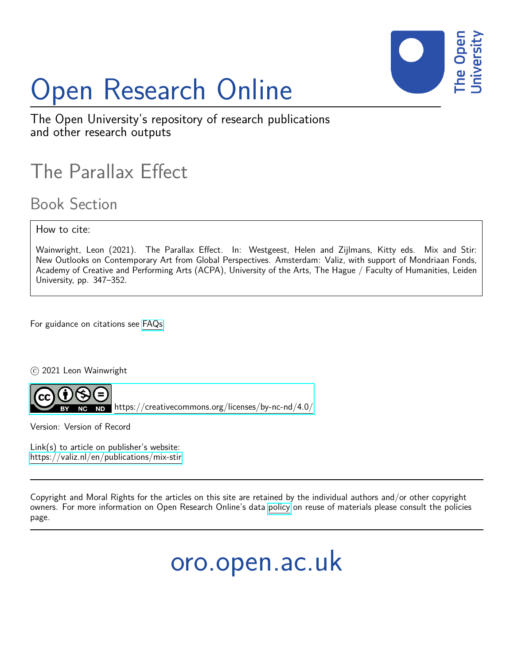

# Open Research Online

The Open University's repository of research publications and other research outputs

### The Parallax Effect

Book Section

How to cite:

Wainwright, Leon (2021). The Parallax Effect. In: Westgeest, Helen and Zijlmans, Kitty eds. Mix and Stir: New Outlooks on Contemporary Art from Global Perspectives. Amsterdam: Valiz, with support of Mondriaan Fonds, Academy of Creative and Performing Arts (ACPA), University of the Arts, The Hague / Faculty of Humanities, Leiden University, pp. 347–352.

For guidance on citations see [FAQs.](http://oro.open.ac.uk/help/helpfaq.html)

c 2021 Leon Wainwright



<https://creativecommons.org/licenses/by-nc-nd/4.0/>

Version: Version of Record

Link(s) to article on publisher's website: <https://valiz.nl/en/publications/mix-stir>

Copyright and Moral Rights for the articles on this site are retained by the individual authors and/or other copyright owners. For more information on Open Research Online's data [policy](http://oro.open.ac.uk/policies.html) on reuse of materials please consult the policies page.

oro.open.ac.uk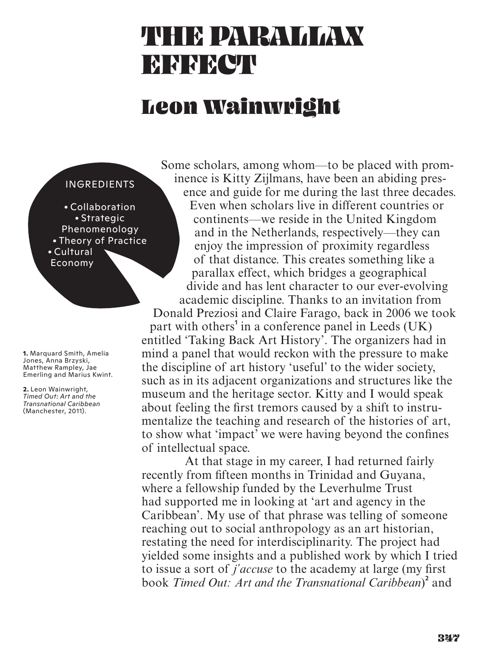## THE PARALLAM **EN REAL**

#### Leon Wainwright

#### INGREDIENTS

· Collaboration · Strategic Phenomenology • Theory of Practice · Cultural Economy

**1.** Marquard Smith, Amelia Jones, Anna Brzyski, Matthew Rampley, Jae Emerling and Marius Kwint.

**2.** Leon Wainwright, *Timed Out: Art and the Transnational Caribbean* (Manchester, 2011).

Some scholars, among whom—to be placed with prominence is Kitty Zijlmans, have been an abiding presence and guide for me during the last three decades. Even when scholars live in different countries or continents—we reside in the United Kingdom and in the Netherlands, respectively—they can enjoy the impression of proximity regardless of that distance. This creates something like a parallax effect, which bridges a geographical divide and has lent character to our ever-evolving academic discipline. Thanks to an invitation from Donald Preziosi and Claire Farago, back in 2006 we took part with others<sup>1</sup> in a conference panel in Leeds (UK)

entitled 'Taking Back Art History'. The organizers had in mind a panel that would reckon with the pressure to make the discipline of art history 'useful' to the wider society, such as in its adjacent organizations and structures like the museum and the heritage sector. Kitty and I would speak about feeling the first tremors caused by a shift to instrumentalize the teaching and research of the histories of art, to show what 'impact' we were having beyond the confines of intellectual space.

At that stage in my career, I had returned fairly recently from fifteen months in Trinidad and Guyana, where a fellowship funded by the Leverhulme Trust had supported me in looking at 'art and agency in the Caribbean'. My use of that phrase was telling of someone reaching out to social anthropology as an art historian, restating the need for interdisciplinarity. The project had yielded some insights and a published work by which I tried to issue a sort of *j'accuse* to the academy at large (my first) book Timed Out: Art and the Transnational Caribbean)<sup>2</sup> and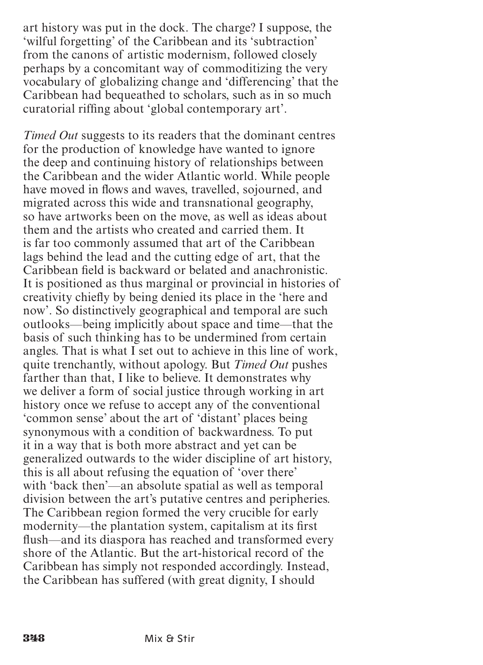art history was put in the dock. The charge? I suppose, the 'wilful forgetting' of the Caribbean and its 'subtraction' from the canons of artistic modernism, followed closely perhaps by a concomitant way of commoditizing the very vocabulary of globalizing change and 'differencing' that the Caribbean had bequeathed to scholars, such as in so much curatorial riffing about 'global contemporary art'.

*Timed Out* suggests to its readers that the dominant centres for the production of knowledge have wanted to ignore the deep and continuing history of relationships between the Caribbean and the wider Atlantic world. While people have moved in flows and waves, travelled, sojourned, and migrated across this wide and transnational geography, so have artworks been on the move, as well as ideas about them and the artists who created and carried them. It is far too commonly assumed that art of the Caribbean lags behind the lead and the cutting edge of art, that the Caribbean field is backward or belated and anachronistic. It is positioned as thus marginal or provincial in histories of creativity chiefly by being denied its place in the 'here and now'. So distinctively geographical and temporal are such outlooks—being implicitly about space and time—that the basis of such thinking has to be undermined from certain angles. That is what I set out to achieve in this line of work, quite trenchantly, without apology. But *Timed Out* pushes farther than that, I like to believe. It demonstrates why we deliver a form of social justice through working in art history once we refuse to accept any of the conventional 'common sense' about the art of 'distant' places being synonymous with a condition of backwardness. To put it in a way that is both more abstract and yet can be generalized outwards to the wider discipline of art history, this is all about refusing the equation of 'over there' with 'back then'—an absolute spatial as well as temporal division between the art's putative centres and peripheries. The Caribbean region formed the very crucible for early modernity—the plantation system, capitalism at its first flush—and its diaspora has reached and transformed every shore of the Atlantic. But the art-historical record of the Caribbean has simply not responded accordingly. Instead, the Caribbean has suffered (with great dignity, I should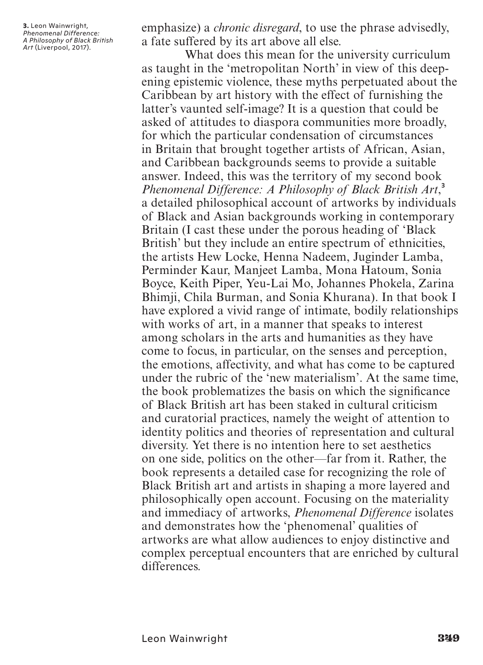**3.** Leon Wainwright, *Phenomenal Difference: A Philosophy of Black British Art* (Liverpool, 2017).

emphasize) a *chronic disregard*, to use the phrase advisedly, a fate suffered by its art above all else.

What does this mean for the university curriculum as taught in the 'metropolitan North' in view of this deepening epistemic violence, these myths perpetuated about the Caribbean by art history with the effect of furnishing the latter's vaunted self-image? It is a question that could be asked of attitudes to diaspora communities more broadly, for which the particular condensation of circumstances in Britain that brought together artists of African, Asian, and Caribbean backgrounds seems to provide a suitable answer. Indeed, this was the territory of my second book *Phenomenal Difference: A Philosophy of Black British Art*, 3 a detailed philosophical account of artworks by individuals of Black and Asian backgrounds working in contemporary Britain (I cast these under the porous heading of 'Black British' but they include an entire spectrum of ethnicities, the artists Hew Locke, Henna Nadeem, Juginder Lamba, Perminder Kaur, Manjeet Lamba, Mona Hatoum, Sonia Boyce, Keith Piper, Yeu-Lai Mo, Johannes Phokela, Zarina Bhimji, Chila Burman, and Sonia Khurana). In that book I have explored a vivid range of intimate, bodily relationships with works of art, in a manner that speaks to interest among scholars in the arts and humanities as they have come to focus, in particular, on the senses and perception, the emotions, affectivity, and what has come to be captured under the rubric of the 'new materialism'. At the same time, the book problematizes the basis on which the significance of Black British art has been staked in cultural criticism and curatorial practices, namely the weight of attention to identity politics and theories of representation and cultural diversity. Yet there is no intention here to set aesthetics on one side, politics on the other—far from it. Rather, the book represents a detailed case for recognizing the role of Black British art and artists in shaping a more layered and philosophically open account. Focusing on the materiality and immediacy of artworks, *Phenomenal Difference* isolates and demonstrates how the 'phenomenal' qualities of artworks are what allow audiences to enjoy distinctive and complex perceptual encounters that are enriched by cultural differences.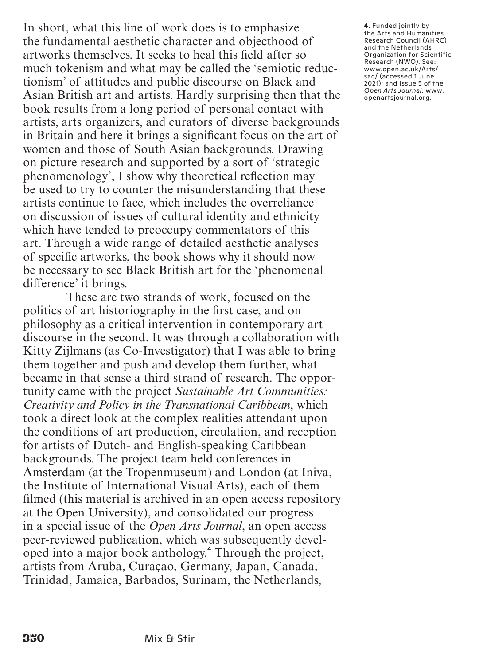In short, what this line of work does is to emphasize the fundamental aesthetic character and objecthood of artworks themselves. It seeks to heal this field after so much tokenism and what may be called the 'semiotic reductionism' of attitudes and public discourse on Black and Asian British art and artists. Hardly surprising then that the book results from a long period of personal contact with artists, arts organizers, and curators of diverse backgrounds in Britain and here it brings a significant focus on the art of women and those of South Asian backgrounds. Drawing on picture research and supported by a sort of 'strategic phenomenology', I show why theoretical reflection may be used to try to counter the misunderstanding that these artists continue to face, which includes the overreliance on discussion of issues of cultural identity and ethnicity which have tended to preoccupy commentators of this art. Through a wide range of detailed aesthetic analyses of specific artworks, the book shows why it should now be necessary to see Black British art for the 'phenomenal difference' it brings.

These are two strands of work, focused on the politics of art historiography in the first case, and on philosophy as a critical intervention in contemporary art discourse in the second. It was through a collaboration with Kitty Zijlmans (as Co-Investigator) that I was able to bring them together and push and develop them further, what became in that sense a third strand of research. The opportunity came with the project *Sustainable Art Communities: Creativity and Policy in the Transnational Caribbean*, which took a direct look at the complex realities attendant upon the conditions of art production, circulation, and reception for artists of Dutch- and English-speaking Caribbean backgrounds. The project team held conferences in Amsterdam (at the Tropenmuseum) and London (at Iniva, the Institute of International Visual Arts), each of them filmed (this material is archived in an open access repository at the Open University), and consolidated our progress in a special issue of the *Open Arts Journal*, an open access peer-reviewed publication, which was subsequently developed into a major book anthology.<sup>4</sup> Through the project, artists from Aruba, Curaçao, Germany, Japan, Canada, Trinidad, Jamaica, Barbados, Surinam, the Netherlands,

**4.** Funded jointly by the Arts and Humanities Research Council (AHRC) and the Netherlands Organization for Scientific Research (NWO). See: www.open.ac.uk/Arts/ sac/ (accessed 1 June 2021); and Issue 5 of the *Open Arts Journal*: www. openartsjournal.org.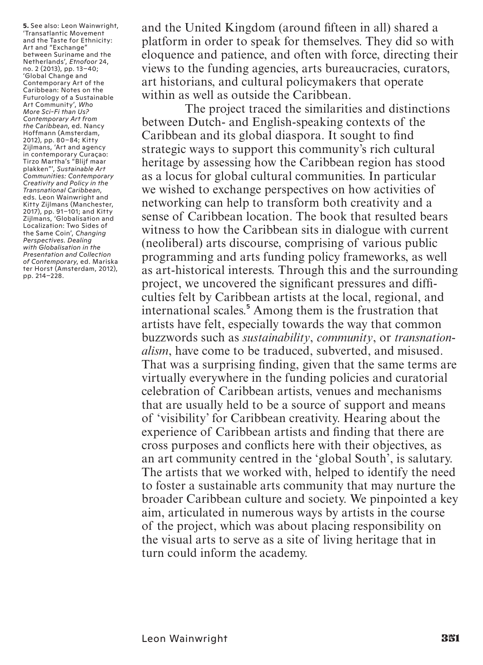**5.** See also: Leon Wainwright, 'Transatlantic Movement and the Taste for Ethnicity: Art and "Exchange" between Suriname and the Netherlands', *Etnofoor* 24, no. 2 (2013), pp. 13–40; 'Global Change and Contemporary Art of the Caribbean: Notes on the Futurology of a Sustainable Art Community', *Who More Sci-Fi than Us? Contemporary Art from the Caribbean*, ed. Nancy Hoffmann (Amsterdam, 2012), pp. 80–84; Kitty Zijlmans, 'Art and agency in contemporary Curaçao: Tirzo Martha's "Blijf maar plakken"', *Sustainable Art Communities: Contemporary Creativity and Policy in the Transnational Caribbean*, eds. Leon Wainwright and Kitty Zijlmans (Manchester, 2017), pp. 91–101; and Kitty Zijlmans, 'Globalisation and Localization: Two Sides of the Same Coin', *Changing Perspectives. Dealing with Globalisation in the Presentation and Collection of Contemporary*, ed. Mariska ter Horst (Amsterdam, 2012), pp. 214–228.

and the United Kingdom (around fifteen in all) shared a platform in order to speak for themselves. They did so with eloquence and patience, and often with force, directing their views to the funding agencies, arts bureaucracies, curators, art historians, and cultural policymakers that operate within as well as outside the Caribbean.

The project traced the similarities and distinctions between Dutch- and English-speaking contexts of the Caribbean and its global diaspora. It sought to find strategic ways to support this community's rich cultural heritage by assessing how the Caribbean region has stood as a locus for global cultural communities. In particular we wished to exchange perspectives on how activities of networking can help to transform both creativity and a sense of Caribbean location. The book that resulted bears witness to how the Caribbean sits in dialogue with current (neoliberal) arts discourse, comprising of various public programming and arts funding policy frameworks, as well as art-historical interests. Through this and the surrounding project, we uncovered the significant pressures and difficulties felt by Caribbean artists at the local, regional, and international scales.<sup>5</sup> Among them is the frustration that artists have felt, especially towards the way that common buzzwords such as *sustainability*, *community*, or *transnationalism*, have come to be traduced, subverted, and misused. That was a surprising finding, given that the same terms are virtually everywhere in the funding policies and curatorial celebration of Caribbean artists, venues and mechanisms that are usually held to be a source of support and means of 'visibility' for Caribbean creativity. Hearing about the experience of Caribbean artists and finding that there are cross purposes and conflicts here with their objectives, as an art community centred in the 'global South', is salutary. The artists that we worked with, helped to identify the need to foster a sustainable arts community that may nurture the broader Caribbean culture and society. We pinpointed a key aim, articulated in numerous ways by artists in the course of the project, which was about placing responsibility on the visual arts to serve as a site of living heritage that in turn could inform the academy.